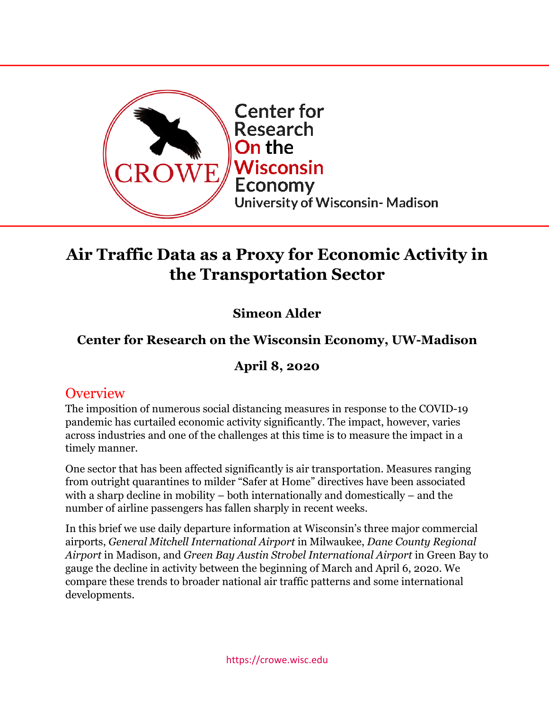

# **Air Traffic Data as a Proxy for Economic Activity in the Transportation Sector**

# **Simeon Alder**

# **Center for Research on the Wisconsin Economy, UW-Madison**

### **April 8, 2020**

### **Overview**

The imposition of numerous social distancing measures in response to the COVID-19 pandemic has curtailed economic activity significantly. The impact, however, varies across industries and one of the challenges at this time is to measure the impact in a timely manner.

One sector that has been affected significantly is air transportation. Measures ranging from outright quarantines to milder "Safer at Home" directives have been associated with a sharp decline in mobility – both internationally and domestically – and the number of airline passengers has fallen sharply in recent weeks.

In this brief we use daily departure information at Wisconsin's three major commercial airports, *General Mitchell International Airport* in Milwaukee, *Dane County Regional Airport* in Madison, and *Green Bay Austin Strobel International Airport* in Green Bay to gauge the decline in activity between the beginning of March and April 6, 2020. We compare these trends to broader national air traffic patterns and some international developments.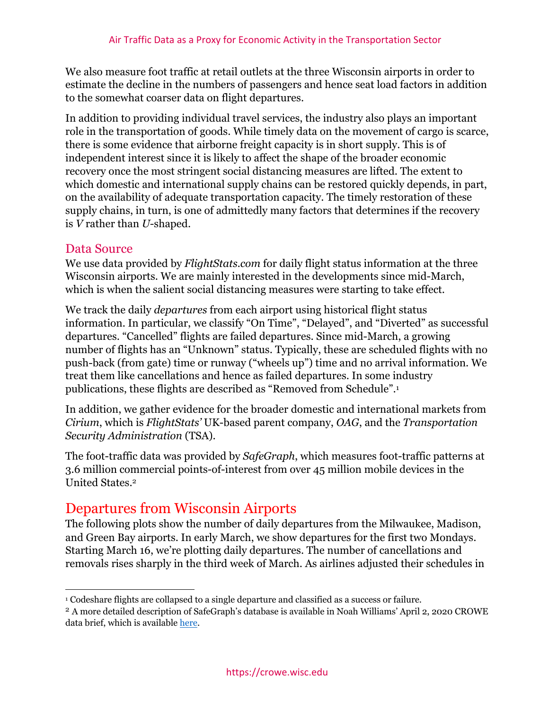We also measure foot traffic at retail outlets at the three Wisconsin airports in order to estimate the decline in the numbers of passengers and hence seat load factors in addition to the somewhat coarser data on flight departures.

In addition to providing individual travel services, the industry also plays an important role in the transportation of goods. While timely data on the movement of cargo is scarce, there is some evidence that airborne freight capacity is in short supply. This is of independent interest since it is likely to affect the shape of the broader economic recovery once the most stringent social distancing measures are lifted. The extent to which domestic and international supply chains can be restored quickly depends, in part, on the availability of adequate transportation capacity. The timely restoration of these supply chains, in turn, is one of admittedly many factors that determines if the recovery is *V* rather than *U-*shaped.

#### Data Source

We use data provided by *FlightStats.com* for daily flight status information at the three Wisconsin airports. We are mainly interested in the developments since mid-March, which is when the salient social distancing measures were starting to take effect.

We track the daily *departures* from each airport using historical flight status information. In particular, we classify "On Time", "Delayed", and "Diverted" as successful departures. "Cancelled" flights are failed departures. Since mid-March, a growing number of flights has an "Unknown" status. Typically, these are scheduled flights with no push-back (from gate) time or runway ("wheels up") time and no arrival information. We treat them like cancellations and hence as failed departures. In some industry publications, these flights are described as "Removed from Schedule".1

In addition, we gather evidence for the broader domestic and international markets from *Cirium*, which is *FlightStats'* UK-based parent company, *OAG*, and the *Transportation Security Administration* (TSA).

The foot-traffic data was provided by *SafeGraph*, which measures foot-traffic patterns at 3.6 million commercial points-of-interest from over 45 million mobile devices in the United States.2

# Departures from Wisconsin Airports

The following plots show the number of daily departures from the Milwaukee, Madison, and Green Bay airports. In early March, we show departures for the first two Mondays. Starting March 16, we're plotting daily departures. The number of cancellations and removals rises sharply in the third week of March. As airlines adjusted their schedules in

<sup>1</sup> Codeshare flights are collapsed to a single departure and classified as a success or failure.

<sup>2</sup> A more detailed description of SafeGraph's database is available in Noah Williams' April 2, 2020 CROWE data brief, which is available here.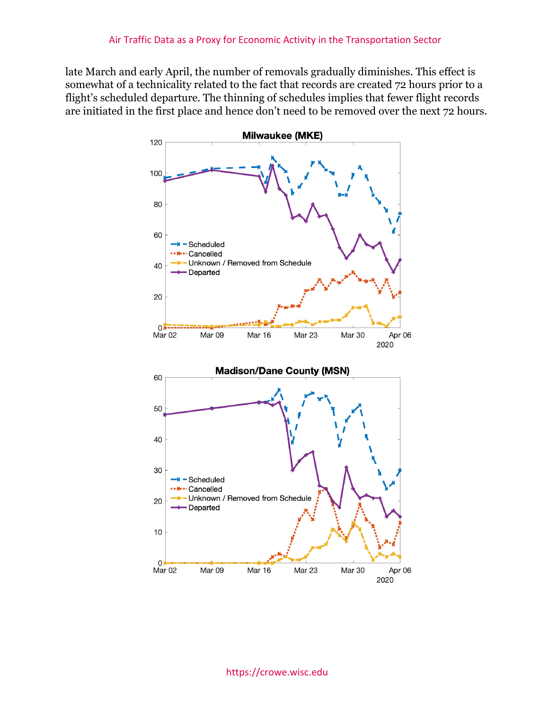late March and early April, the number of removals gradually diminishes. This effect is somewhat of a technicality related to the fact that records are created 72 hours prior to a flight's scheduled departure. The thinning of schedules implies that fewer flight records are initiated in the first place and hence don't need to be removed over the next 72 hours.



https://crowe.wisc.edu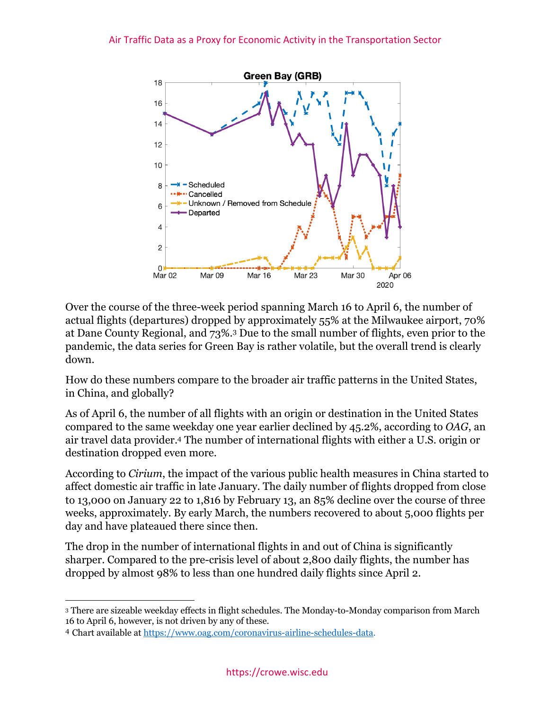

Over the course of the three-week period spanning March 16 to April 6, the number of actual flights (departures) dropped by approximately 55% at the Milwaukee airport, 70% at Dane County Regional, and 73%.3 Due to the small number of flights, even prior to the pandemic, the data series for Green Bay is rather volatile, but the overall trend is clearly down.

How do these numbers compare to the broader air traffic patterns in the United States, in China, and globally?

As of April 6, the number of all flights with an origin or destination in the United States compared to the same weekday one year earlier declined by 45.2%, according to *OAG*, an air travel data provider.4 The number of international flights with either a U.S. origin or destination dropped even more.

According to *Cirium*, the impact of the various public health measures in China started to affect domestic air traffic in late January. The daily number of flights dropped from close to 13,000 on January 22 to 1,816 by February 13, an 85% decline over the course of three weeks, approximately. By early March, the numbers recovered to about 5,000 flights per day and have plateaued there since then.

The drop in the number of international flights in and out of China is significantly sharper. Compared to the pre-crisis level of about 2,800 daily flights, the number has dropped by almost 98% to less than one hundred daily flights since April 2.

<sup>3</sup> There are sizeable weekday effects in flight schedules. The Monday-to-Monday comparison from March 16 to April 6, however, is not driven by any of these.

<sup>4</sup> Chart available at https://www.oag.com/coronavirus-airline-schedules-data.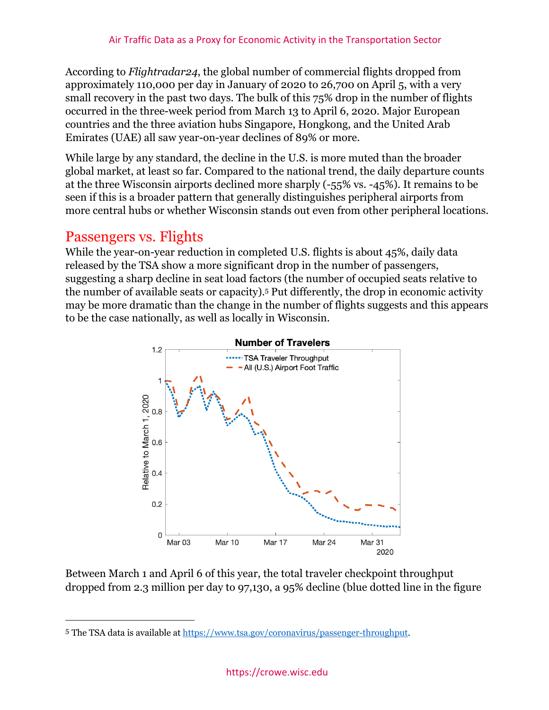According to *Flightradar24*, the global number of commercial flights dropped from approximately 110,000 per day in January of 2020 to 26,700 on April 5, with a very small recovery in the past two days. The bulk of this 75% drop in the number of flights occurred in the three-week period from March 13 to April 6, 2020. Major European countries and the three aviation hubs Singapore, Hongkong, and the United Arab Emirates (UAE) all saw year-on-year declines of 89% or more.

While large by any standard, the decline in the U.S. is more muted than the broader global market, at least so far. Compared to the national trend, the daily departure counts at the three Wisconsin airports declined more sharply (-55% vs. -45%). It remains to be seen if this is a broader pattern that generally distinguishes peripheral airports from more central hubs or whether Wisconsin stands out even from other peripheral locations.

#### Passengers vs. Flights

While the year-on-year reduction in completed U.S. flights is about 45%, daily data released by the TSA show a more significant drop in the number of passengers, suggesting a sharp decline in seat load factors (the number of occupied seats relative to the number of available seats or capacity).5 Put differently, the drop in economic activity may be more dramatic than the change in the number of flights suggests and this appears to be the case nationally, as well as locally in Wisconsin.



Between March 1 and April 6 of this year, the total traveler checkpoint throughput dropped from 2.3 million per day to 97,130, a 95% decline (blue dotted line in the figure

<sup>5</sup> The TSA data is available at https://www.tsa.gov/coronavirus/passenger-throughput.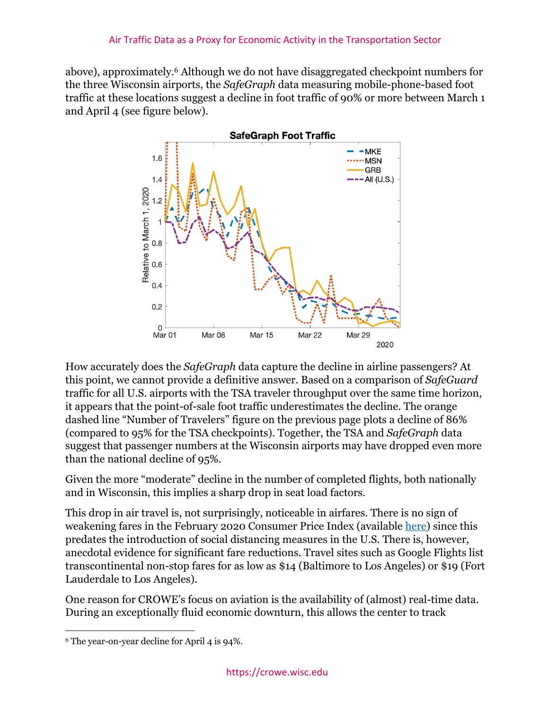above), approximately.6 Although we do not have disaggregated checkpoint numbers for the three Wisconsin airports, the *SafeGraph* data measuring mobile-phone-based foot traffic at these locations suggest a decline in foot traffic of 90% or more between March 1 and April 4 (see figure below).



How accurately does the *SafeGraph* data capture the decline in airline passengers? At this point, we cannot provide a definitive answer. Based on a comparison of *SafeGuard* traffic for all U.S. airports with the TSA traveler throughput over the same time horizon, it appears that the point-of-sale foot traffic underestimates the decline. The orange dashed line "Number of Travelers" figure on the previous page plots a decline of 86% (compared to 95% for the TSA checkpoints). Together, the TSA and *SafeGraph* data suggest that passenger numbers at the Wisconsin airports may have dropped even more than the national decline of 95%.

Given the more "moderate" decline in the number of completed flights, both nationally and in Wisconsin, this implies a sharp drop in seat load factors.

This drop in air travel is, not surprisingly, noticeable in airfares. There is no sign of weakening fares in the February 2020 Consumer Price Index (available here) since this predates the introduction of social distancing measures in the U.S. There is, however, anecdotal evidence for significant fare reductions. Travel sites such as Google Flights list transcontinental non-stop fares for as low as \$14 (Baltimore to Los Angeles) or \$19 (Fort Lauderdale to Los Angeles).

One reason for CROWE's focus on aviation is the availability of (almost) real-time data. During an exceptionally fluid economic downturn, this allows the center to track

<sup>6</sup> The year-on-year decline for April 4 is 94%.